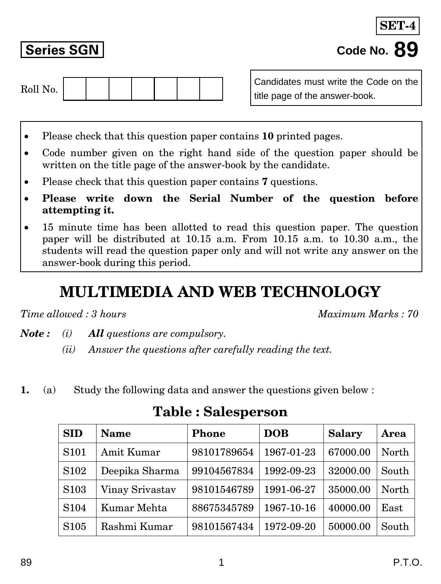**SET** 



Candidates must write the Code on the title page of the answer-book.

- Please check that this question paper contains **10** printed pages.
- Code number given on the right hand side of the question paper should be written on the title page of the answer-book by the candidate.
- Please check that this question paper contains **7** questions.
- **Please write down the Serial Number of the question before attempting it.**
- 15 minute time has been allotted to read this question paper. The question paper will be distributed at 10.15 a.m. From 10.15 a.m. to 10.30 a.m., the students will read the question paper only and will not write any answer on the answer-book during this period.

## **MULTIMEDIA AND WEB TECHNOLOGY**

*Time allowed : 3 hours Maximum Marks : 70*

- *Note : (i) All questions are compulsory.*
	- *(ii) Answer the questions after carefully reading the text.*
- **1.** (a) Study the following data and answer the questions given below :

| <b>SID</b>        | <b>Name</b>     | <b>Phone</b> | <b>DOB</b> | <b>Salary</b> | Area  |
|-------------------|-----------------|--------------|------------|---------------|-------|
| S <sub>10</sub> 1 | Amit Kumar      | 98101789654  | 1967-01-23 | 67000.00      | North |
| S <sub>102</sub>  | Deepika Sharma  | 99104567834  | 1992-09-23 | 32000.00      | South |
| S <sub>103</sub>  | Vinay Srivastav | 98101546789  | 1991-06-27 | 35000.00      | North |
| S <sub>104</sub>  | Kumar Mehta     | 88675345789  | 1967-10-16 | 40000.00      | East  |
| S <sub>105</sub>  | Rashmi Kumar    | 98101567434  | 1972-09-20 | 50000.00      | South |

**Table : Salesperson**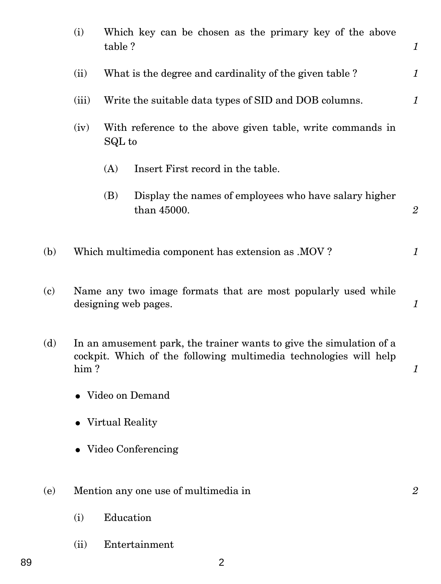|                   | (i)   | table?            | Which key can be chosen as the primary key of the above                                                                                  | 1              |
|-------------------|-------|-------------------|------------------------------------------------------------------------------------------------------------------------------------------|----------------|
|                   | (ii)  |                   | What is the degree and cardinality of the given table ?                                                                                  | 1              |
|                   | (iii) |                   | Write the suitable data types of SID and DOB columns.                                                                                    | 1              |
|                   | (iv)  | SQL to            | With reference to the above given table, write commands in                                                                               |                |
|                   |       | (A)               | Insert First record in the table.                                                                                                        |                |
|                   |       | (B)               | Display the names of employees who have salary higher<br>than 45000.                                                                     | $\mathbf{2}$   |
| (b)               |       |                   | Which multimedia component has extension as .MOV?                                                                                        | 1              |
| $\left( c\right)$ |       |                   | Name any two image formats that are most popularly used while<br>designing web pages.                                                    | 1              |
| (d)               | him?  |                   | In an amusement park, the trainer wants to give the simulation of a<br>cockpit. Which of the following multimedia technologies will help | 1              |
|                   |       |                   | • Video on Demand                                                                                                                        |                |
|                   |       | • Virtual Reality |                                                                                                                                          |                |
|                   |       |                   | • Video Conferencing                                                                                                                     |                |
| (e)               |       |                   | Mention any one use of multimedia in                                                                                                     | $\overline{2}$ |
|                   | (i)   | Education         |                                                                                                                                          |                |
|                   | (ii)  |                   | Entertainment                                                                                                                            |                |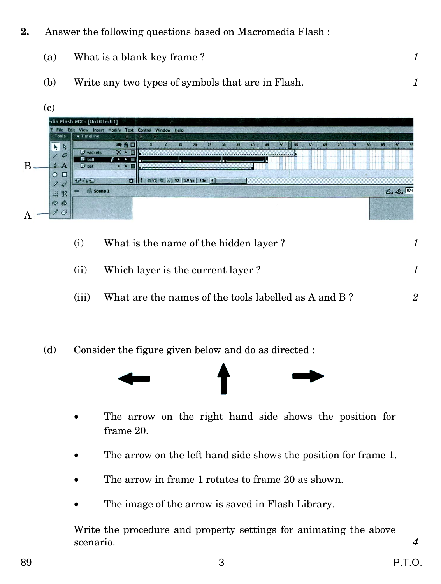- **2.** Answer the following questions based on Macromedia Flash :
	- (a) What is a blank key frame ? *1*
	- (b) Write any two types of symbols that are in Flash. *1*



- (i) What is the name of the hidden layer ? *1*
- (ii) Which layer is the current layer ? *1*
- (iii) What are the names of the tools labelled as A and B? 2
- (d) Consider the figure given below and do as directed :



- The arrow on the right hand side shows the position for frame 20.
- The arrow on the left hand side shows the position for frame 1.
- The arrow in frame 1 rotates to frame 20 as shown.
- The image of the arrow is saved in Flash Library.

Write the procedure and property settings for animating the above scenario. *4*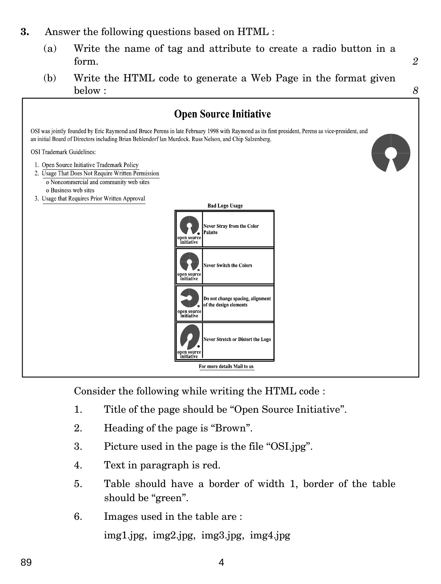## **3.** Answer the following questions based on HTML :

- (a) Write the name of tag and attribute to create a radio button in a form. *2*
- (b) Write the HTML code to generate a Web Page in the format given below : *8*



Consider the following while writing the HTML code :

- 1. Title of the page should be ''Open Source Initiative''.
- 2. Heading of the page is "Brown".
- 3. Picture used in the page is the file ''OSI.jpg''.
- 4. Text in paragraph is red.
- 5. Table should have a border of width 1, border of the table should be "green".
- 6. Images used in the table are : img1.jpg, img2.jpg, img3.jpg, img4.jpg

89 4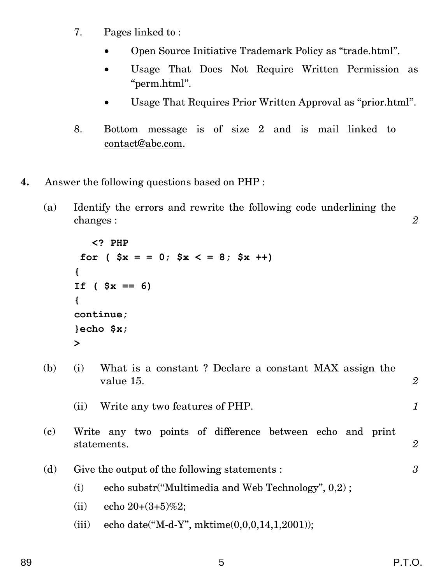- 7. Pages linked to :
	- Open Source Initiative Trademark Policy as ''trade.html''.
	- Usage That Does Not Require Written Permission as ''perm.html''.
	- Usage That Requires Prior Written Approval as ''prior.html''.
- 8. Bottom message is of size 2 and is mail linked to contact@abc.com.
- **4.** Answer the following questions based on PHP :
	- (a) Identify the errors and rewrite the following code underlining the changes : *2*

```
 <? PHP
 for (Sx = 0; Sx < 8; Sx + 1){
If ( $x == 6){
continue;
}echo $x;
>
```
(b) (i) What is a constant ? Declare a constant MAX assign the value 15. *2* 

```
(ii) Write any two features of PHP. 1
```
(c) Write any two points of difference between echo and print statements. *2*

(d) Give the output of the following statements : *3*

- (i) echo substr(''Multimedia and Web Technology'', 0,2) ;
- (ii) echo  $20+(3+5)\%2$ ;
- (iii) echo date("M-d-Y", mktime $(0,0,0,14,1,2001)$ );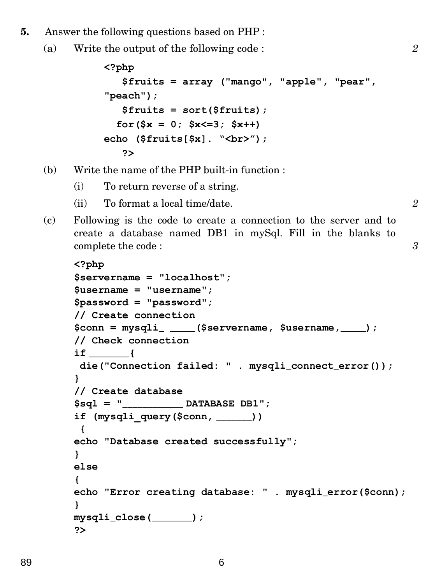- **5.** Answer the following questions based on PHP :
	- (a) Write the output of the following code : *2*

```
<?php
    $fruits = array ("mango", "apple", "pear",
"peach");
    $fruits = sort($fruits);
  for($x = 0; $x < = 3; $x + +)
echo ($fruits[$x]. "<br>");
    ?>
```
- (b) Write the name of the PHP built-in function :
	- (i) To return reverse of a string.
	- (ii) To format a local time/date. *2*
- (c) Following is the code to create a connection to the server and to create a database named DB1 in mySql. Fill in the blanks to complete the code : *3*

```
<?php
$servername = "localhost";
$username = "username";
$password = "password";
// Create connection
$conn = mysqli_ _____($servername, $username,_____);
// Check connection
if ________{
die("Connection failed: " . mysqli_connect_error());
}
// Create database
$sql = "____________ DATABASE DB1";
if (mysqli_query($conn, _______))
 {
echo "Database created successfully";
}
else
{
echo "Error creating database: " . mysqli_error($conn);
}
mysqli_close(________);
?>
```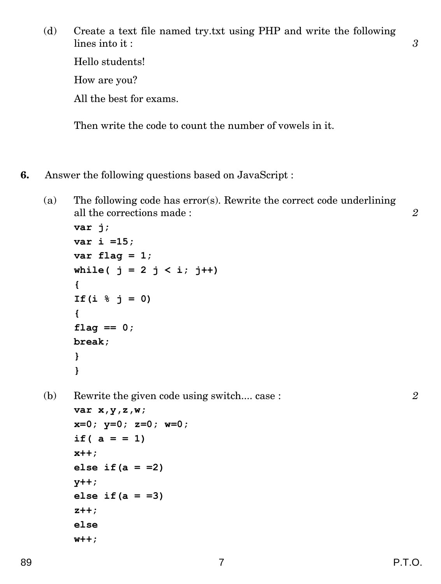(d) Create a text file named try.txt using PHP and write the following lines into it : **3** 3 Hello students! How are you? All the best for exams.

Then write the code to count the number of vowels in it.

- **6.** Answer the following questions based on JavaScript :
	- (a) The following code has error(s). Rewrite the correct code underlining all the corrections made : *2*

```
var j;
var i =15;
var flag = 1;
while( j = 2 j < i; j++){
If(i % j = 0)
{
flag == 0;
break;
}
}
```
(b) Rewrite the given code using switch.... case : *2*

```
var x,y,z,w;
x=0; y=0; z=0; w=0;
if( a = = 1)
x++;
else if(a = =2)
y++;
else if(a = =3)
z++;
else
w++;
```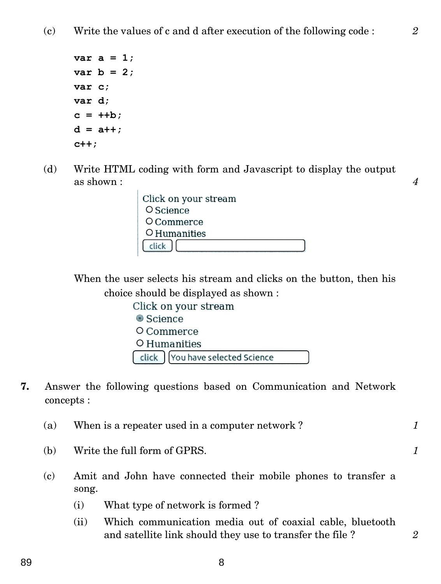```
var a = 1;
var b = 2;
var c;
var d;
c = ++b;
d = a++;c++;
```
(d) Write HTML coding with form and Javascript to display the output as shown :  $\frac{4}{4}$ 

> Click on your stream O Science O Commerce O Humanities click

When the user selects his stream and clicks on the button, then his choice should be displayed as shown :

> Click on your stream Science O Commerce O Humanities click | You have selected Science

**7.** Answer the following questions based on Communication and Network concepts :

| (a) | When is a repeater used in a computer network?                          |  |
|-----|-------------------------------------------------------------------------|--|
| (b) | Write the full form of GPRS.                                            |  |
| (c) | Amit and John have connected their mobile phones to transfer a<br>song. |  |
|     | What type of network is formed?<br>(i)                                  |  |

(ii) Which communication media out of coaxial cable, bluetooth and satellite link should they use to transfer the file ? *2*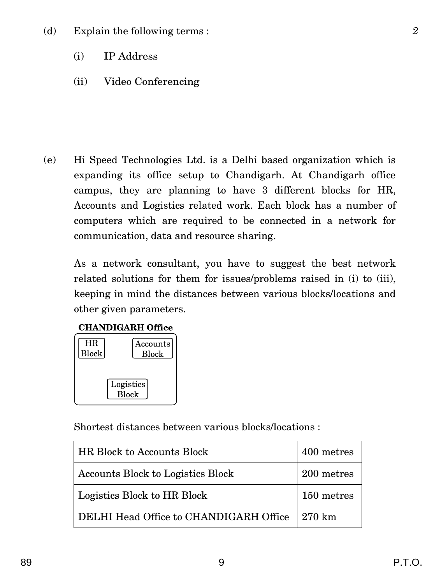- (i) IP Address
- (ii) Video Conferencing

(e) Hi Speed Technologies Ltd. is a Delhi based organization which is expanding its office setup to Chandigarh. At Chandigarh office campus, they are planning to have 3 different blocks for HR, Accounts and Logistics related work. Each block has a number of computers which are required to be connected in a network for communication, data and resource sharing.

As a network consultant, you have to suggest the best network related solutions for them for issues/problems raised in (i) to (iii), keeping in mind the distances between various blocks/locations and other given parameters.

## **CHANDIGARH Office**



Shortest distances between various blocks/locations :

| <b>HR Block to Accounts Block</b>      | 400 metres |
|----------------------------------------|------------|
| Accounts Block to Logistics Block      | 200 metres |
| Logistics Block to HR Block            | 150 metres |
| DELHI Head Office to CHANDIGARH Office | 270 km     |